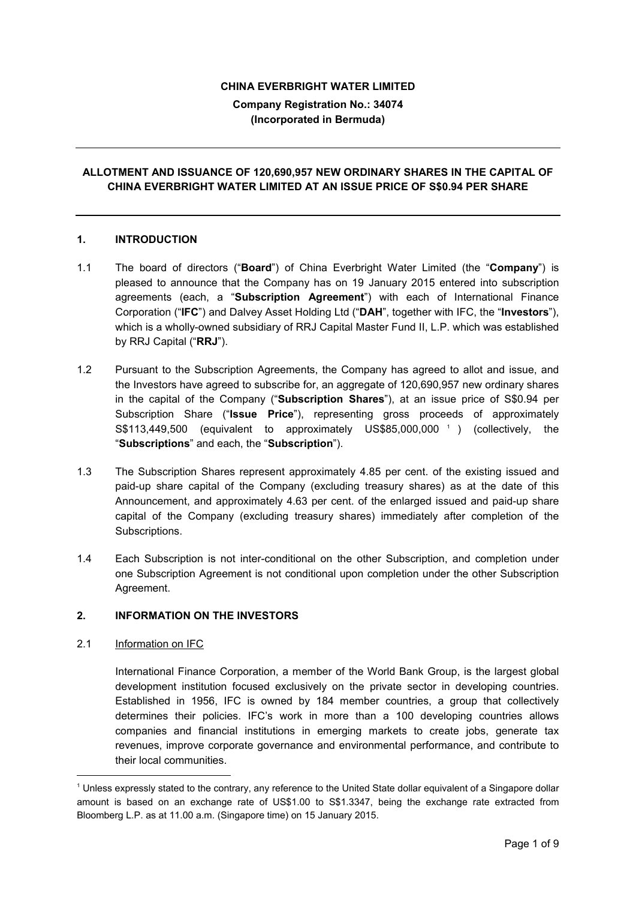### **CHINA EVERBRIGHT WATER LIMITED**

**Company Registration No.: 34074 (Incorporated in Bermuda)**

# **ALLOTMENT AND ISSUANCE OF 120,690,957 NEW ORDINARY SHARES IN THE CAPITAL OF CHINA EVERBRIGHT WATER LIMITED AT AN ISSUE PRICE OF S\$0.94 PER SHARE**

## **1. INTRODUCTION**

- 1.1 The board of directors ("**Board**") of China Everbright Water Limited (the "**Company**") is pleased to announce that the Company has on 19 January 2015 entered into subscription agreements (each, a "**Subscription Agreement**") with each of International Finance Corporation ("**IFC**") and Dalvey Asset Holding Ltd ("**DAH**", together with IFC, the "**Investors**"), which is a wholly-owned subsidiary of RRJ Capital Master Fund II, L.P. which was established by RRJ Capital ("**RRJ**").
- 1.2 Pursuant to the Subscription Agreements, the Company has agreed to allot and issue, and the Investors have agreed to subscribe for, an aggregate of 120,690,957 new ordinary shares in the capital of the Company ("**Subscription Shares**"), at an issue price of S\$0.94 per Subscription Share ("**Issue Price**"), representing gross proceeds of approximately S\$113,449,500 (equivalent to approximately US\$85,000,000 1 ) (collectively, the "**Subscriptions**" and each, the "**Subscription**").
- 1.3 The Subscription Shares represent approximately 4.85 per cent. of the existing issued and paid-up share capital of the Company (excluding treasury shares) as at the date of this Announcement, and approximately 4.63 per cent. of the enlarged issued and paid-up share capital of the Company (excluding treasury shares) immediately after completion of the Subscriptions.
- 1.4 Each Subscription is not inter-conditional on the other Subscription, and completion under one Subscription Agreement is not conditional upon completion under the other Subscription Agreement.

## **2. INFORMATION ON THE INVESTORS**

2.1 Information on IFC

-

International Finance Corporation, a member of the World Bank Group, is the largest global development institution focused exclusively on the private sector in developing countries. Established in 1956, IFC is owned by 184 member countries, a group that collectively determines their policies. IFC's work in more than a 100 developing countries allows companies and financial institutions in emerging markets to create jobs, generate tax revenues, improve corporate governance and environmental performance, and contribute to their local communities.

<sup>1</sup> Unless expressly stated to the contrary, any reference to the United State dollar equivalent of a Singapore dollar amount is based on an exchange rate of US\$1.00 to S\$1.3347, being the exchange rate extracted from Bloomberg L.P. as at 11.00 a.m. (Singapore time) on 15 January 2015.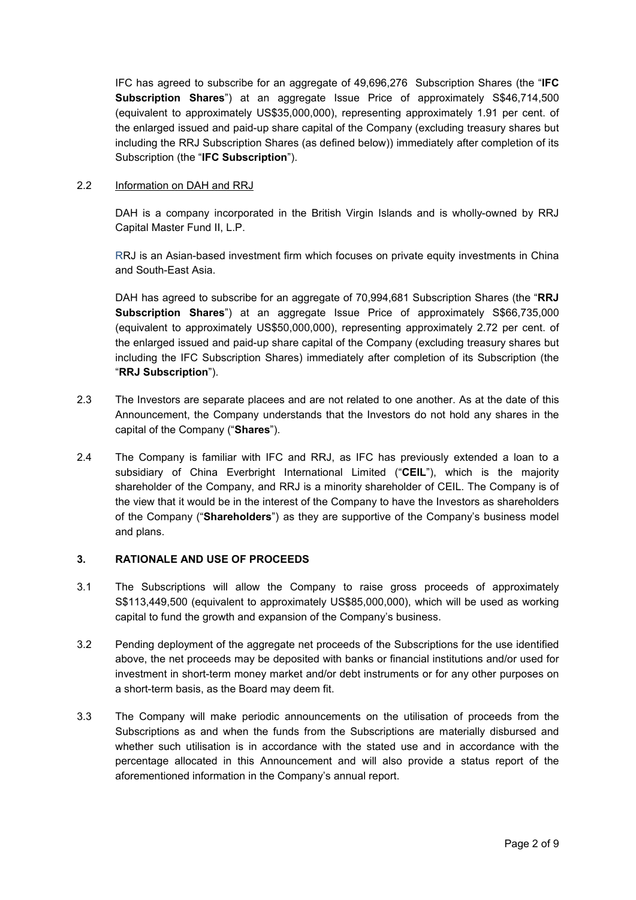IFC has agreed to subscribe for an aggregate of 49,696,276 Subscription Shares (the "**IFC Subscription Shares**") at an aggregate Issue Price of approximately S\$46,714,500 (equivalent to approximately US\$35,000,000), representing approximately 1.91 per cent. of the enlarged issued and paid-up share capital of the Company (excluding treasury shares but including the RRJ Subscription Shares (as defined below)) immediately after completion of its Subscription (the "**IFC Subscription**").

## 2.2 Information on DAH and RRJ

DAH is a company incorporated in the British Virgin Islands and is wholly-owned by RRJ Capital Master Fund II, L.P.

RRJ is an Asian-based investment firm which focuses on private equity investments in China and South-East Asia.

DAH has agreed to subscribe for an aggregate of 70,994,681 Subscription Shares (the "**RRJ Subscription Shares**") at an aggregate Issue Price of approximately S\$66,735,000 (equivalent to approximately US\$50,000,000), representing approximately 2.72 per cent. of the enlarged issued and paid-up share capital of the Company (excluding treasury shares but including the IFC Subscription Shares) immediately after completion of its Subscription (the "**RRJ Subscription**").

- 2.3 The Investors are separate placees and are not related to one another. As at the date of this Announcement, the Company understands that the Investors do not hold any shares in the capital of the Company ("**Shares**").
- 2.4 The Company is familiar with IFC and RRJ, as IFC has previously extended a loan to a subsidiary of China Everbright International Limited ("**CEIL**"), which is the majority shareholder of the Company, and RRJ is a minority shareholder of CEIL. The Company is of the view that it would be in the interest of the Company to have the Investors as shareholders of the Company ("**Shareholders**") as they are supportive of the Company's business model and plans.

## **3. RATIONALE AND USE OF PROCEEDS**

- 3.1 The Subscriptions will allow the Company to raise gross proceeds of approximately S\$113,449,500 (equivalent to approximately US\$85,000,000), which will be used as working capital to fund the growth and expansion of the Company's business.
- 3.2 Pending deployment of the aggregate net proceeds of the Subscriptions for the use identified above, the net proceeds may be deposited with banks or financial institutions and/or used for investment in short-term money market and/or debt instruments or for any other purposes on a short-term basis, as the Board may deem fit.
- 3.3 The Company will make periodic announcements on the utilisation of proceeds from the Subscriptions as and when the funds from the Subscriptions are materially disbursed and whether such utilisation is in accordance with the stated use and in accordance with the percentage allocated in this Announcement and will also provide a status report of the aforementioned information in the Company's annual report.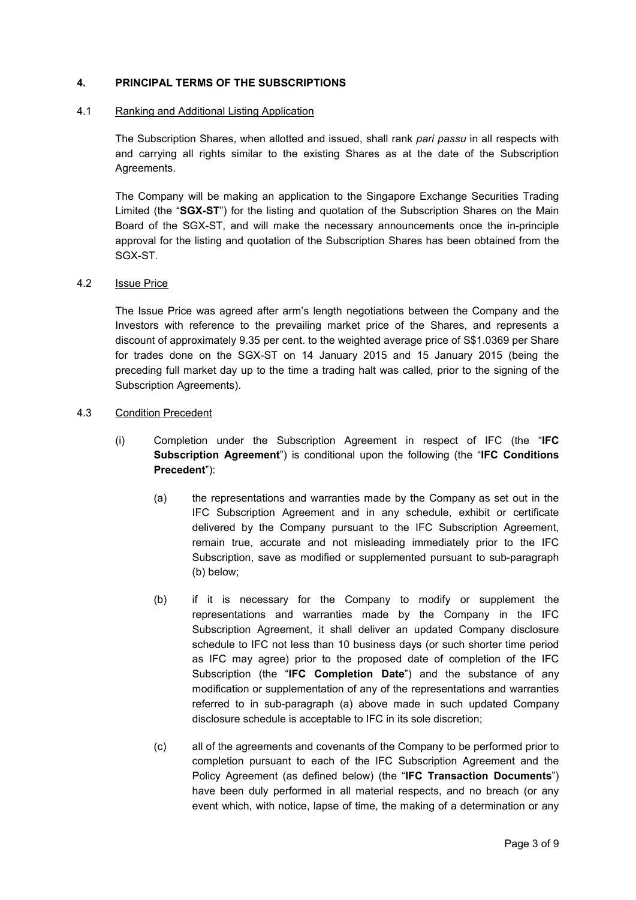## **4. PRINCIPAL TERMS OF THE SUBSCRIPTIONS**

#### 4.1 Ranking and Additional Listing Application

The Subscription Shares, when allotted and issued, shall rank *pari passu* in all respects with and carrying all rights similar to the existing Shares as at the date of the Subscription Agreements.

The Company will be making an application to the Singapore Exchange Securities Trading Limited (the "**SGX-ST**") for the listing and quotation of the Subscription Shares on the Main Board of the SGX-ST, and will make the necessary announcements once the in-principle approval for the listing and quotation of the Subscription Shares has been obtained from the SGX-ST.

#### 4.2 Issue Price

The Issue Price was agreed after arm's length negotiations between the Company and the Investors with reference to the prevailing market price of the Shares, and represents a discount of approximately 9.35 per cent. to the weighted average price of S\$1.0369 per Share for trades done on the SGX-ST on 14 January 2015 and 15 January 2015 (being the preceding full market day up to the time a trading halt was called, prior to the signing of the Subscription Agreements).

#### 4.3 Condition Precedent

- (i) Completion under the Subscription Agreement in respect of IFC (the "**IFC Subscription Agreement**") is conditional upon the following (the "**IFC Conditions Precedent**"):
	- (a) the representations and warranties made by the Company as set out in the IFC Subscription Agreement and in any schedule, exhibit or certificate delivered by the Company pursuant to the IFC Subscription Agreement, remain true, accurate and not misleading immediately prior to the IFC Subscription, save as modified or supplemented pursuant to sub-paragraph (b) below;
	- (b) if it is necessary for the Company to modify or supplement the representations and warranties made by the Company in the IFC Subscription Agreement, it shall deliver an updated Company disclosure schedule to IFC not less than 10 business days (or such shorter time period as IFC may agree) prior to the proposed date of completion of the IFC Subscription (the "**IFC Completion Date**") and the substance of any modification or supplementation of any of the representations and warranties referred to in sub-paragraph (a) above made in such updated Company disclosure schedule is acceptable to IFC in its sole discretion;
	- (c) all of the agreements and covenants of the Company to be performed prior to completion pursuant to each of the IFC Subscription Agreement and the Policy Agreement (as defined below) (the "**IFC Transaction Documents**") have been duly performed in all material respects, and no breach (or any event which, with notice, lapse of time, the making of a determination or any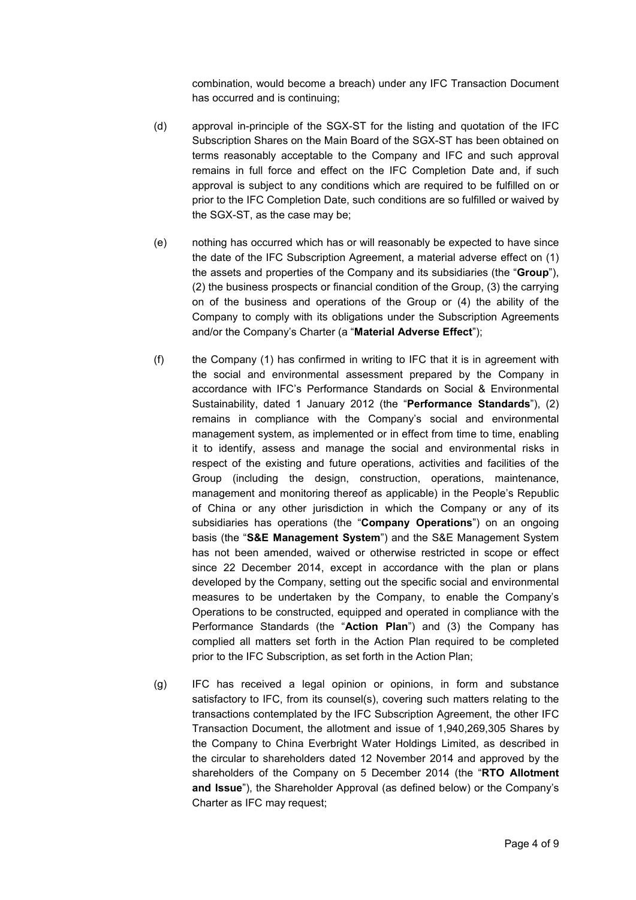combination, would become a breach) under any IFC Transaction Document has occurred and is continuing;

- (d) approval in-principle of the SGX-ST for the listing and quotation of the IFC Subscription Shares on the Main Board of the SGX-ST has been obtained on terms reasonably acceptable to the Company and IFC and such approval remains in full force and effect on the IFC Completion Date and, if such approval is subject to any conditions which are required to be fulfilled on or prior to the IFC Completion Date, such conditions are so fulfilled or waived by the SGX-ST, as the case may be;
- (e) nothing has occurred which has or will reasonably be expected to have since the date of the IFC Subscription Agreement, a material adverse effect on (1) the assets and properties of the Company and its subsidiaries (the "**Group**"), (2) the business prospects or financial condition of the Group, (3) the carrying on of the business and operations of the Group or (4) the ability of the Company to comply with its obligations under the Subscription Agreements and/or the Company's Charter (a "**Material Adverse Effect**");
- (f) the Company (1) has confirmed in writing to IFC that it is in agreement with the social and environmental assessment prepared by the Company in accordance with IFC's Performance Standards on Social & Environmental Sustainability, dated 1 January 2012 (the "**Performance Standards**"), (2) remains in compliance with the Company's social and environmental management system, as implemented or in effect from time to time, enabling it to identify, assess and manage the social and environmental risks in respect of the existing and future operations, activities and facilities of the Group (including the design, construction, operations, maintenance, management and monitoring thereof as applicable) in the People's Republic of China or any other jurisdiction in which the Company or any of its subsidiaries has operations (the "**Company Operations**") on an ongoing basis (the "**S&E Management System**") and the S&E Management System has not been amended, waived or otherwise restricted in scope or effect since 22 December 2014, except in accordance with the plan or plans developed by the Company, setting out the specific social and environmental measures to be undertaken by the Company, to enable the Company's Operations to be constructed, equipped and operated in compliance with the Performance Standards (the "**Action Plan**") and (3) the Company has complied all matters set forth in the Action Plan required to be completed prior to the IFC Subscription, as set forth in the Action Plan;
- (g) IFC has received a legal opinion or opinions, in form and substance satisfactory to IFC, from its counsel(s), covering such matters relating to the transactions contemplated by the IFC Subscription Agreement, the other IFC Transaction Document, the allotment and issue of 1,940,269,305 Shares by the Company to China Everbright Water Holdings Limited, as described in the circular to shareholders dated 12 November 2014 and approved by the shareholders of the Company on 5 December 2014 (the "**RTO Allotment and Issue**"), the Shareholder Approval (as defined below) or the Company's Charter as IFC may request;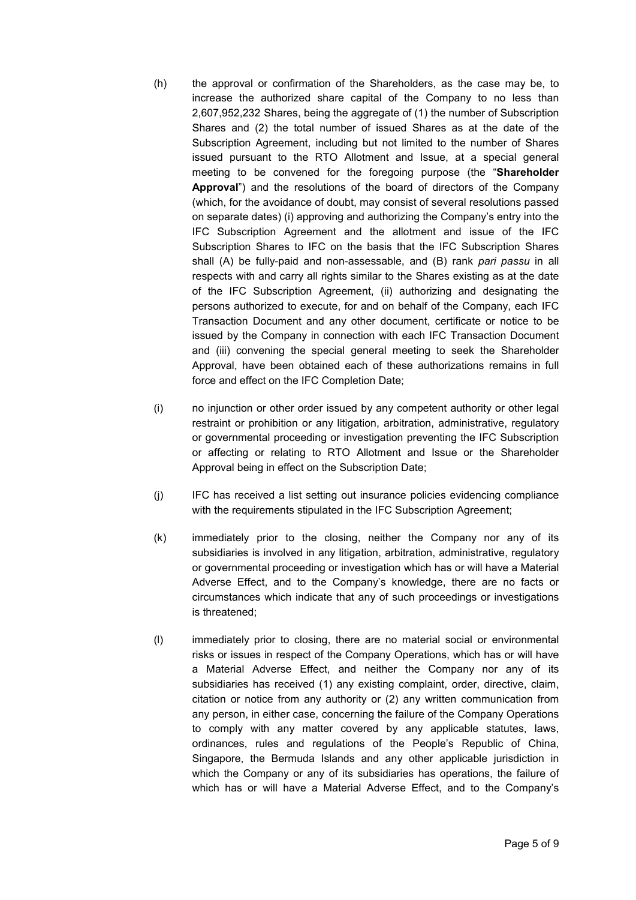- (h) the approval or confirmation of the Shareholders, as the case may be, to increase the authorized share capital of the Company to no less than 2,607,952,232 Shares, being the aggregate of (1) the number of Subscription Shares and (2) the total number of issued Shares as at the date of the Subscription Agreement, including but not limited to the number of Shares issued pursuant to the RTO Allotment and Issue, at a special general meeting to be convened for the foregoing purpose (the "**Shareholder Approval**") and the resolutions of the board of directors of the Company (which, for the avoidance of doubt, may consist of several resolutions passed on separate dates) (i) approving and authorizing the Company's entry into the IFC Subscription Agreement and the allotment and issue of the IFC Subscription Shares to IFC on the basis that the IFC Subscription Shares shall (A) be fully-paid and non-assessable, and (B) rank *pari passu* in all respects with and carry all rights similar to the Shares existing as at the date of the IFC Subscription Agreement, (ii) authorizing and designating the persons authorized to execute, for and on behalf of the Company, each IFC Transaction Document and any other document, certificate or notice to be issued by the Company in connection with each IFC Transaction Document and (iii) convening the special general meeting to seek the Shareholder Approval, have been obtained each of these authorizations remains in full force and effect on the IFC Completion Date;
- (i) no injunction or other order issued by any competent authority or other legal restraint or prohibition or any litigation, arbitration, administrative, regulatory or governmental proceeding or investigation preventing the IFC Subscription or affecting or relating to RTO Allotment and Issue or the Shareholder Approval being in effect on the Subscription Date;
- (j) IFC has received a list setting out insurance policies evidencing compliance with the requirements stipulated in the IFC Subscription Agreement;
- (k) immediately prior to the closing, neither the Company nor any of its subsidiaries is involved in any litigation, arbitration, administrative, regulatory or governmental proceeding or investigation which has or will have a Material Adverse Effect, and to the Company's knowledge, there are no facts or circumstances which indicate that any of such proceedings or investigations is threatened;
- (l) immediately prior to closing, there are no material social or environmental risks or issues in respect of the Company Operations, which has or will have a Material Adverse Effect, and neither the Company nor any of its subsidiaries has received (1) any existing complaint, order, directive, claim, citation or notice from any authority or (2) any written communication from any person, in either case, concerning the failure of the Company Operations to comply with any matter covered by any applicable statutes, laws, ordinances, rules and regulations of the People's Republic of China, Singapore, the Bermuda Islands and any other applicable jurisdiction in which the Company or any of its subsidiaries has operations, the failure of which has or will have a Material Adverse Effect, and to the Company's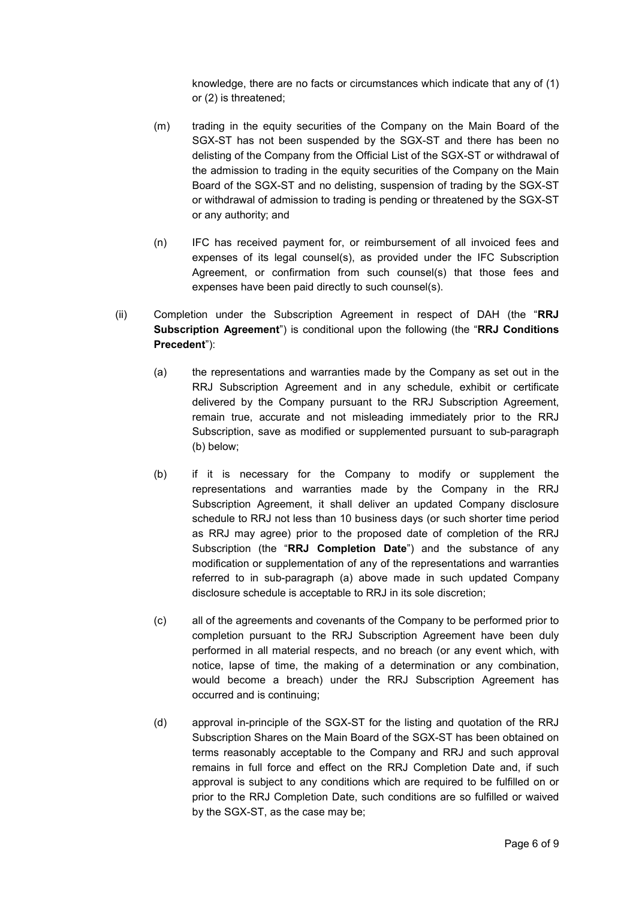knowledge, there are no facts or circumstances which indicate that any of (1) or (2) is threatened;

- (m) trading in the equity securities of the Company on the Main Board of the SGX-ST has not been suspended by the SGX-ST and there has been no delisting of the Company from the Official List of the SGX-ST or withdrawal of the admission to trading in the equity securities of the Company on the Main Board of the SGX-ST and no delisting, suspension of trading by the SGX-ST or withdrawal of admission to trading is pending or threatened by the SGX-ST or any authority; and
- (n) IFC has received payment for, or reimbursement of all invoiced fees and expenses of its legal counsel(s), as provided under the IFC Subscription Agreement, or confirmation from such counsel(s) that those fees and expenses have been paid directly to such counsel(s).
- (ii) Completion under the Subscription Agreement in respect of DAH (the "**RRJ Subscription Agreement**") is conditional upon the following (the "**RRJ Conditions Precedent**"):
	- (a) the representations and warranties made by the Company as set out in the RRJ Subscription Agreement and in any schedule, exhibit or certificate delivered by the Company pursuant to the RRJ Subscription Agreement, remain true, accurate and not misleading immediately prior to the RRJ Subscription, save as modified or supplemented pursuant to sub-paragraph (b) below;
	- (b) if it is necessary for the Company to modify or supplement the representations and warranties made by the Company in the RRJ Subscription Agreement, it shall deliver an updated Company disclosure schedule to RRJ not less than 10 business days (or such shorter time period as RRJ may agree) prior to the proposed date of completion of the RRJ Subscription (the "**RRJ Completion Date**") and the substance of any modification or supplementation of any of the representations and warranties referred to in sub-paragraph (a) above made in such updated Company disclosure schedule is acceptable to RRJ in its sole discretion;
	- (c) all of the agreements and covenants of the Company to be performed prior to completion pursuant to the RRJ Subscription Agreement have been duly performed in all material respects, and no breach (or any event which, with notice, lapse of time, the making of a determination or any combination, would become a breach) under the RRJ Subscription Agreement has occurred and is continuing;
	- (d) approval in-principle of the SGX-ST for the listing and quotation of the RRJ Subscription Shares on the Main Board of the SGX-ST has been obtained on terms reasonably acceptable to the Company and RRJ and such approval remains in full force and effect on the RRJ Completion Date and, if such approval is subject to any conditions which are required to be fulfilled on or prior to the RRJ Completion Date, such conditions are so fulfilled or waived by the SGX-ST, as the case may be;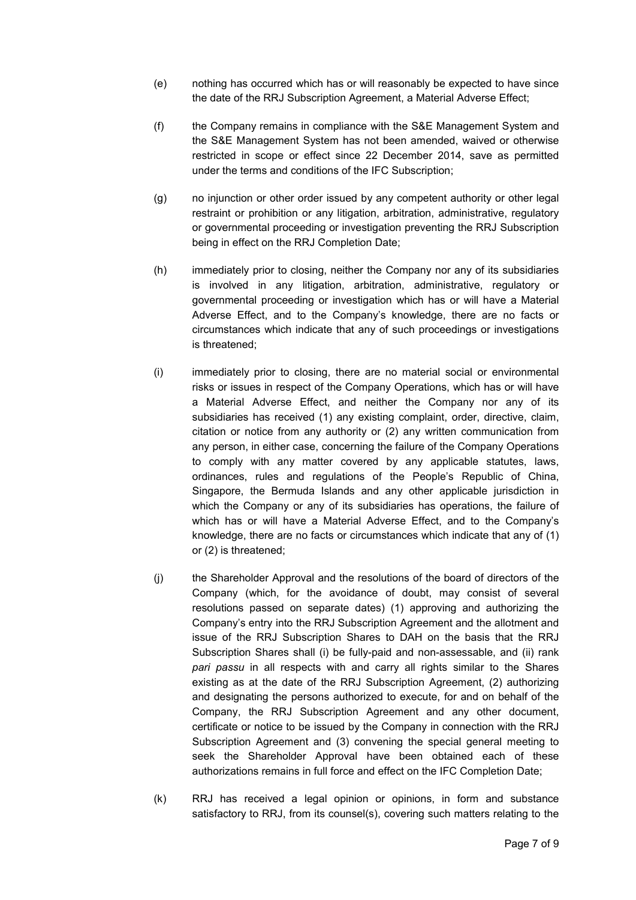- (e) nothing has occurred which has or will reasonably be expected to have since the date of the RRJ Subscription Agreement, a Material Adverse Effect;
- (f) the Company remains in compliance with the S&E Management System and the S&E Management System has not been amended, waived or otherwise restricted in scope or effect since 22 December 2014, save as permitted under the terms and conditions of the IFC Subscription;
- (g) no injunction or other order issued by any competent authority or other legal restraint or prohibition or any litigation, arbitration, administrative, regulatory or governmental proceeding or investigation preventing the RRJ Subscription being in effect on the RRJ Completion Date;
- (h) immediately prior to closing, neither the Company nor any of its subsidiaries is involved in any litigation, arbitration, administrative, regulatory or governmental proceeding or investigation which has or will have a Material Adverse Effect, and to the Company's knowledge, there are no facts or circumstances which indicate that any of such proceedings or investigations is threatened;
- (i) immediately prior to closing, there are no material social or environmental risks or issues in respect of the Company Operations, which has or will have a Material Adverse Effect, and neither the Company nor any of its subsidiaries has received (1) any existing complaint, order, directive, claim, citation or notice from any authority or (2) any written communication from any person, in either case, concerning the failure of the Company Operations to comply with any matter covered by any applicable statutes, laws, ordinances, rules and regulations of the People's Republic of China, Singapore, the Bermuda Islands and any other applicable jurisdiction in which the Company or any of its subsidiaries has operations, the failure of which has or will have a Material Adverse Effect, and to the Company's knowledge, there are no facts or circumstances which indicate that any of (1) or (2) is threatened;
- (j) the Shareholder Approval and the resolutions of the board of directors of the Company (which, for the avoidance of doubt, may consist of several resolutions passed on separate dates) (1) approving and authorizing the Company's entry into the RRJ Subscription Agreement and the allotment and issue of the RRJ Subscription Shares to DAH on the basis that the RRJ Subscription Shares shall (i) be fully-paid and non-assessable, and (ii) rank *pari passu* in all respects with and carry all rights similar to the Shares existing as at the date of the RRJ Subscription Agreement, (2) authorizing and designating the persons authorized to execute, for and on behalf of the Company, the RRJ Subscription Agreement and any other document, certificate or notice to be issued by the Company in connection with the RRJ Subscription Agreement and (3) convening the special general meeting to seek the Shareholder Approval have been obtained each of these authorizations remains in full force and effect on the IFC Completion Date;
- (k) RRJ has received a legal opinion or opinions, in form and substance satisfactory to RRJ, from its counsel(s), covering such matters relating to the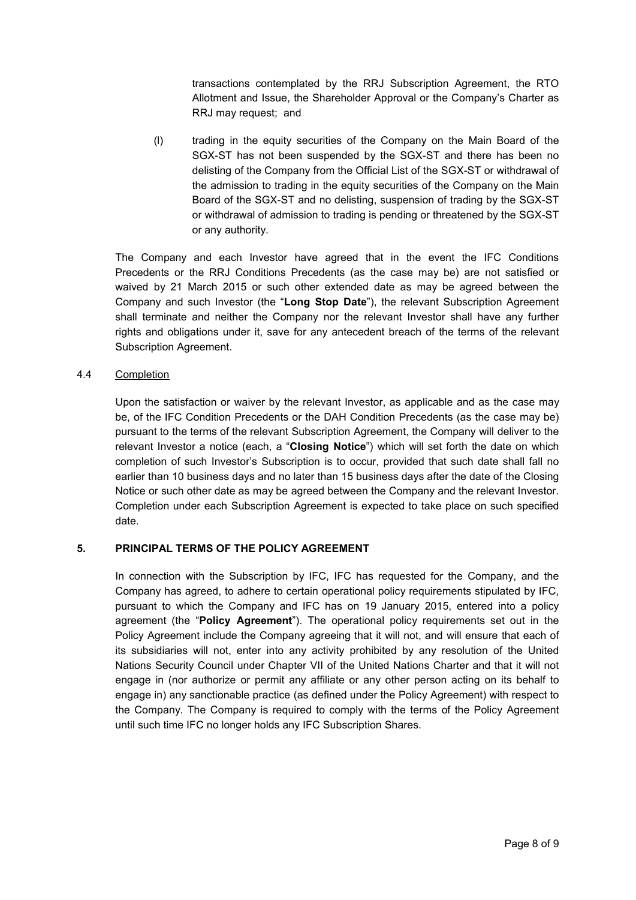transactions contemplated by the RRJ Subscription Agreement, the RTO Allotment and Issue, the Shareholder Approval or the Company's Charter as RRJ may request; and

(l) trading in the equity securities of the Company on the Main Board of the SGX-ST has not been suspended by the SGX-ST and there has been no delisting of the Company from the Official List of the SGX-ST or withdrawal of the admission to trading in the equity securities of the Company on the Main Board of the SGX-ST and no delisting, suspension of trading by the SGX-ST or withdrawal of admission to trading is pending or threatened by the SGX-ST or any authority.

The Company and each Investor have agreed that in the event the IFC Conditions Precedents or the RRJ Conditions Precedents (as the case may be) are not satisfied or waived by 21 March 2015 or such other extended date as may be agreed between the Company and such Investor (the "**Long Stop Date**"), the relevant Subscription Agreement shall terminate and neither the Company nor the relevant Investor shall have any further rights and obligations under it, save for any antecedent breach of the terms of the relevant Subscription Agreement.

## 4.4 Completion

Upon the satisfaction or waiver by the relevant Investor, as applicable and as the case may be, of the IFC Condition Precedents or the DAH Condition Precedents (as the case may be) pursuant to the terms of the relevant Subscription Agreement, the Company will deliver to the relevant Investor a notice (each, a "**Closing Notice**") which will set forth the date on which completion of such Investor's Subscription is to occur, provided that such date shall fall no earlier than 10 business days and no later than 15 business days after the date of the Closing Notice or such other date as may be agreed between the Company and the relevant Investor. Completion under each Subscription Agreement is expected to take place on such specified date.

## **5. PRINCIPAL TERMS OF THE POLICY AGREEMENT**

In connection with the Subscription by IFC, IFC has requested for the Company, and the Company has agreed, to adhere to certain operational policy requirements stipulated by IFC, pursuant to which the Company and IFC has on 19 January 2015, entered into a policy agreement (the "**Policy Agreement**"). The operational policy requirements set out in the Policy Agreement include the Company agreeing that it will not, and will ensure that each of its subsidiaries will not, enter into any activity prohibited by any resolution of the United Nations Security Council under Chapter VII of the United Nations Charter and that it will not engage in (nor authorize or permit any affiliate or any other person acting on its behalf to engage in) any sanctionable practice (as defined under the Policy Agreement) with respect to the Company. The Company is required to comply with the terms of the Policy Agreement until such time IFC no longer holds any IFC Subscription Shares.